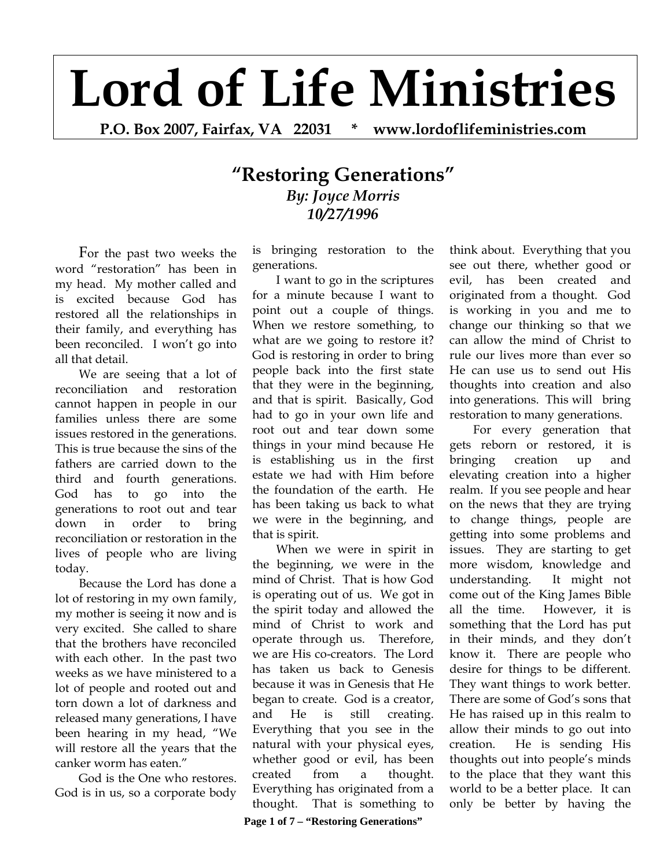## **Lord of Life Ministries**

**P.O. Box 2007, Fairfax, VA 22031 \* www.lordoflifeministries.com** 

## **"Restoring Generations"** *By: Joyce Morris 10/27/1996*

 For the past two weeks the word "restoration" has been in my head. My mother called and is excited because God has restored all the relationships in their family, and everything has been reconciled. I won't go into all that detail.

We are seeing that a lot of reconciliation and restoration cannot happen in people in our families unless there are some issues restored in the generations. This is true because the sins of the fathers are carried down to the third and fourth generations. God has to go into the generations to root out and tear down in order to bring reconciliation or restoration in the lives of people who are living today.

Because the Lord has done a lot of restoring in my own family, my mother is seeing it now and is very excited. She called to share that the brothers have reconciled with each other. In the past two weeks as we have ministered to a lot of people and rooted out and torn down a lot of darkness and released many generations, I have been hearing in my head, "We will restore all the years that the canker worm has eaten."

God is the One who restores. God is in us, so a corporate body

is bringing restoration to the generations.

I want to go in the scriptures for a minute because I want to point out a couple of things. When we restore something, to what are we going to restore it? God is restoring in order to bring people back into the first state that they were in the beginning, and that is spirit. Basically, God had to go in your own life and root out and tear down some things in your mind because He is establishing us in the first estate we had with Him before the foundation of the earth. He has been taking us back to what we were in the beginning, and that is spirit.

When we were in spirit in the beginning, we were in the mind of Christ. That is how God is operating out of us. We got in the spirit today and allowed the mind of Christ to work and operate through us. Therefore, we are His co-creators. The Lord has taken us back to Genesis because it was in Genesis that He began to create. God is a creator, and He is still creating. Everything that you see in the natural with your physical eyes, whether good or evil, has been created from a thought. Everything has originated from a thought. That is something to

think about. Everything that you see out there, whether good or evil, has been created and originated from a thought. God is working in you and me to change our thinking so that we can allow the mind of Christ to rule our lives more than ever so He can use us to send out His thoughts into creation and also into generations. This will bring restoration to many generations.

For every generation that gets reborn or restored, it is bringing creation up and elevating creation into a higher realm. If you see people and hear on the news that they are trying to change things, people are getting into some problems and issues. They are starting to get more wisdom, knowledge and understanding. It might not come out of the King James Bible all the time. However, it is something that the Lord has put in their minds, and they don't know it. There are people who desire for things to be different. They want things to work better. There are some of God's sons that He has raised up in this realm to allow their minds to go out into creation. He is sending His thoughts out into people's minds to the place that they want this world to be a better place. It can only be better by having the

**Page 1 of 7 – "Restoring Generations"**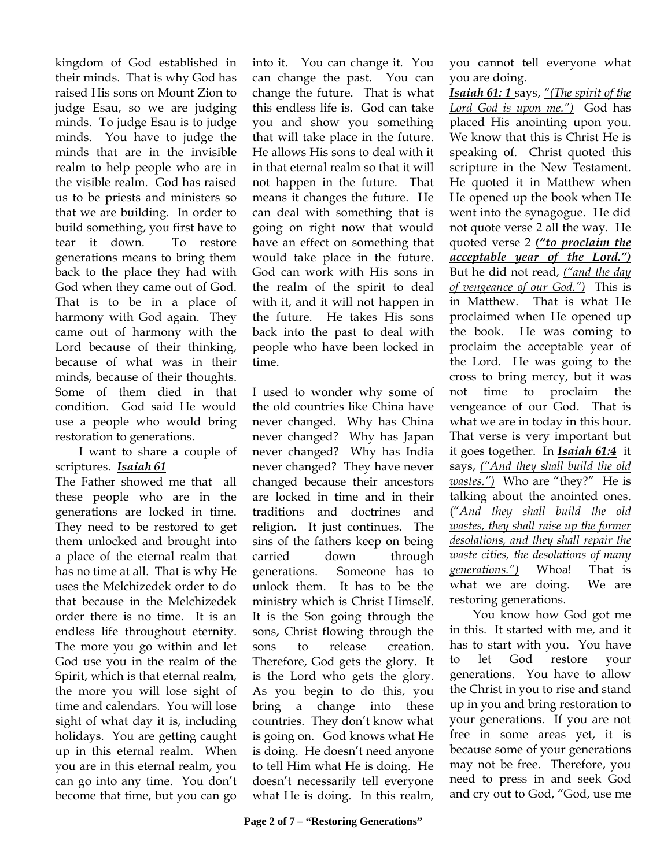kingdom of God established in their minds. That is why God has raised His sons on Mount Zion to judge Esau, so we are judging minds. To judge Esau is to judge minds. You have to judge the minds that are in the invisible realm to help people who are in the visible realm. God has raised us to be priests and ministers so that we are building. In order to build something, you first have to tear it down. To restore generations means to bring them back to the place they had with God when they came out of God. That is to be in a place of harmony with God again. They came out of harmony with the Lord because of their thinking, because of what was in their minds, because of their thoughts. Some of them died in that condition. God said He would use a people who would bring restoration to generations.

 I want to share a couple of scriptures. *Isaiah 61*

The Father showed me that all these people who are in the generations are locked in time. They need to be restored to get them unlocked and brought into a place of the eternal realm that has no time at all. That is why He uses the Melchizedek order to do that because in the Melchizedek order there is no time. It is an endless life throughout eternity. The more you go within and let God use you in the realm of the Spirit, which is that eternal realm, the more you will lose sight of time and calendars. You will lose sight of what day it is, including holidays. You are getting caught up in this eternal realm. When you are in this eternal realm, you can go into any time. You don't become that time, but you can go

into it. You can change it. You can change the past. You can change the future. That is what this endless life is. God can take you and show you something that will take place in the future. He allows His sons to deal with it in that eternal realm so that it will not happen in the future. That means it changes the future. He can deal with something that is going on right now that would have an effect on something that would take place in the future. God can work with His sons in the realm of the spirit to deal with it, and it will not happen in the future. He takes His sons back into the past to deal with people who have been locked in time.

I used to wonder why some of the old countries like China have never changed. Why has China never changed? Why has Japan never changed? Why has India never changed? They have never changed because their ancestors are locked in time and in their traditions and doctrines and religion. It just continues. The sins of the fathers keep on being carried down through generations. Someone has to unlock them. It has to be the ministry which is Christ Himself. It is the Son going through the sons, Christ flowing through the sons to release creation. Therefore, God gets the glory. It is the Lord who gets the glory. As you begin to do this, you bring a change into these countries. They don't know what is going on. God knows what He is doing. He doesn't need anyone to tell Him what He is doing. He doesn't necessarily tell everyone what He is doing. In this realm,

you cannot tell everyone what you are doing.

*Isaiah 61: 1* says, *"(The spirit of the Lord God is upon me.")* God has placed His anointing upon you. We know that this is Christ He is speaking of. Christ quoted this scripture in the New Testament. He quoted it in Matthew when He opened up the book when He went into the synagogue. He did not quote verse 2 all the way. He quoted verse 2 *("to proclaim the acceptable year of the Lord.")* But he did not read, *("and the day of vengeance of our God.")* This is in Matthew. That is what He proclaimed when He opened up the book. He was coming to proclaim the acceptable year of the Lord. He was going to the cross to bring mercy, but it was not time to proclaim the vengeance of our God. That is what we are in today in this hour. That verse is very important but it goes together. In *Isaiah 61:4* it says, *("And they shall build the old wastes.")* Who are "they?" He is talking about the anointed ones. ("*And they shall build the old wastes, they shall raise up the former desolations, and they shall repair the waste cities, the desolations of many generations.")* Whoa! That is what we are doing. We are restoring generations.

 You know how God got me in this. It started with me, and it has to start with you. You have to let God restore your generations. You have to allow the Christ in you to rise and stand up in you and bring restoration to your generations. If you are not free in some areas yet, it is because some of your generations may not be free. Therefore, you need to press in and seek God and cry out to God, "God, use me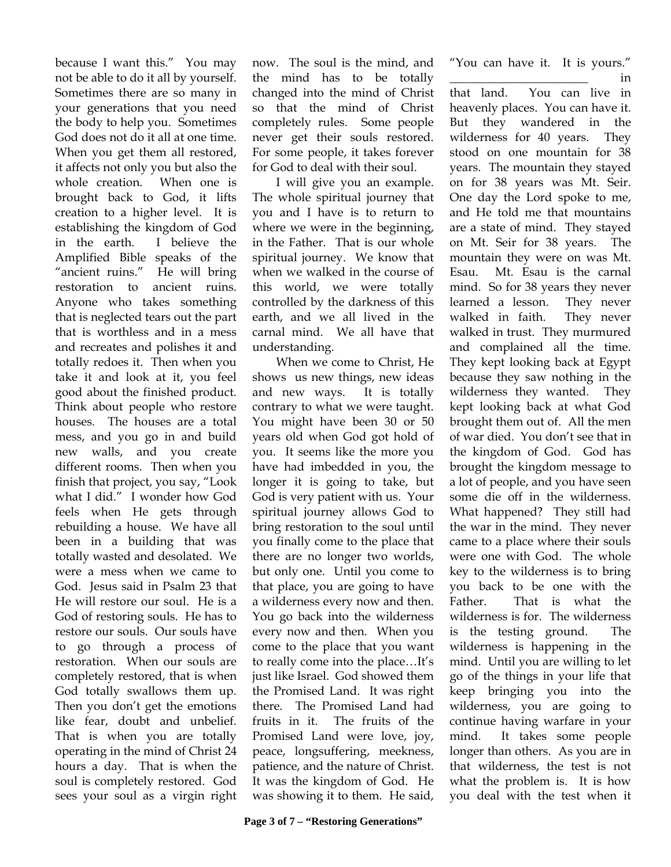because I want this." You may not be able to do it all by yourself. Sometimes there are so many in your generations that you need the body to help you. Sometimes God does not do it all at one time. When you get them all restored, it affects not only you but also the whole creation. When one is brought back to God, it lifts creation to a higher level. It is establishing the kingdom of God in the earth. I believe the Amplified Bible speaks of the "ancient ruins." He will bring restoration to ancient ruins. Anyone who takes something that is neglected tears out the part that is worthless and in a mess and recreates and polishes it and totally redoes it. Then when you take it and look at it, you feel good about the finished product. Think about people who restore houses. The houses are a total mess, and you go in and build new walls, and you create different rooms. Then when you finish that project, you say, "Look what I did." I wonder how God feels when He gets through rebuilding a house. We have all been in a building that was totally wasted and desolated. We were a mess when we came to God. Jesus said in Psalm 23 that He will restore our soul. He is a God of restoring souls. He has to restore our souls. Our souls have to go through a process of restoration. When our souls are completely restored, that is when God totally swallows them up. Then you don't get the emotions like fear, doubt and unbelief. That is when you are totally operating in the mind of Christ 24 hours a day. That is when the soul is completely restored. God sees your soul as a virgin right

now. The soul is the mind, and the mind has to be totally changed into the mind of Christ so that the mind of Christ completely rules. Some people never get their souls restored. For some people, it takes forever for God to deal with their soul.

 I will give you an example. The whole spiritual journey that you and I have is to return to where we were in the beginning, in the Father. That is our whole spiritual journey. We know that when we walked in the course of this world, we were totally controlled by the darkness of this earth, and we all lived in the carnal mind. We all have that understanding.

When we come to Christ, He shows us new things, new ideas and new ways. It is totally contrary to what we were taught. You might have been 30 or 50 years old when God got hold of you. It seems like the more you have had imbedded in you, the longer it is going to take, but God is very patient with us. Your spiritual journey allows God to bring restoration to the soul until you finally come to the place that there are no longer two worlds, but only one. Until you come to that place, you are going to have a wilderness every now and then. You go back into the wilderness every now and then. When you come to the place that you want to really come into the place…It's just like Israel. God showed them the Promised Land. It was right there. The Promised Land had fruits in it. The fruits of the Promised Land were love, joy, peace, longsuffering, meekness, patience, and the nature of Christ. It was the kingdom of God. He was showing it to them. He said,

"You can have it. It is yours." \_\_\_\_\_\_\_\_\_\_\_\_\_\_\_\_\_\_\_\_\_\_\_ in

that land. You can live in heavenly places. You can have it. But they wandered in the wilderness for 40 years. They stood on one mountain for 38 years. The mountain they stayed on for 38 years was Mt. Seir. One day the Lord spoke to me, and He told me that mountains are a state of mind. They stayed on Mt. Seir for 38 years. The mountain they were on was Mt. Esau. Mt. Esau is the carnal mind. So for 38 years they never learned a lesson. They never walked in faith. They never walked in trust. They murmured and complained all the time. They kept looking back at Egypt because they saw nothing in the wilderness they wanted. They kept looking back at what God brought them out of. All the men of war died. You don't see that in the kingdom of God. God has brought the kingdom message to a lot of people, and you have seen some die off in the wilderness. What happened? They still had the war in the mind. They never came to a place where their souls were one with God. The whole key to the wilderness is to bring you back to be one with the Father. That is what the wilderness is for. The wilderness is the testing ground. The wilderness is happening in the mind. Until you are willing to let go of the things in your life that keep bringing you into the wilderness, you are going to continue having warfare in your mind. It takes some people longer than others. As you are in that wilderness, the test is not what the problem is. It is how you deal with the test when it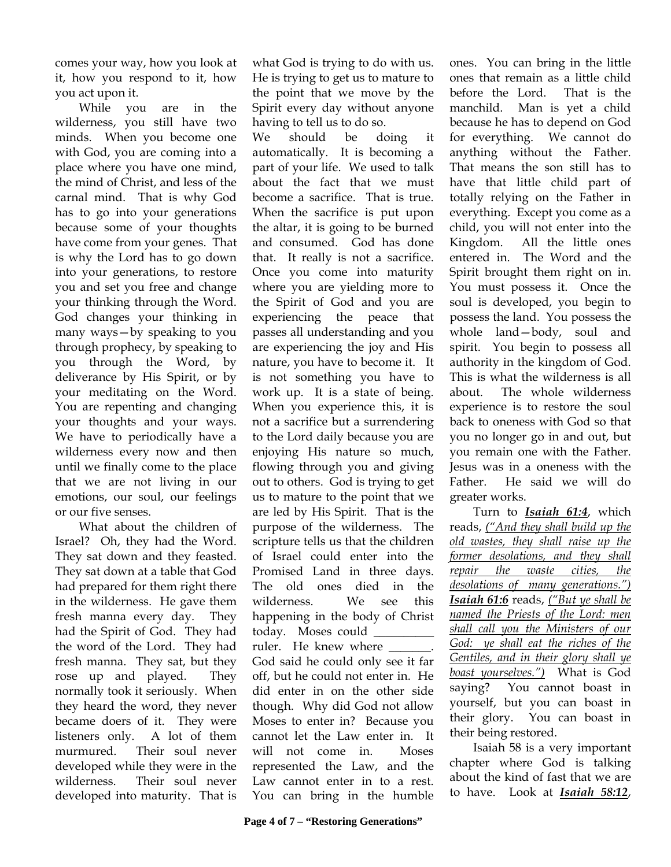comes your way, how you look at it, how you respond to it, how you act upon it.

While you are in the wilderness, you still have two minds. When you become one with God, you are coming into a place where you have one mind, the mind of Christ, and less of the carnal mind. That is why God has to go into your generations because some of your thoughts have come from your genes. That is why the Lord has to go down into your generations, to restore you and set you free and change your thinking through the Word. God changes your thinking in many ways—by speaking to you through prophecy, by speaking to you through the Word, by deliverance by His Spirit, or by your meditating on the Word. You are repenting and changing your thoughts and your ways. We have to periodically have a wilderness every now and then until we finally come to the place that we are not living in our emotions, our soul, our feelings or our five senses.

What about the children of Israel? Oh, they had the Word. They sat down and they feasted. They sat down at a table that God had prepared for them right there in the wilderness. He gave them fresh manna every day. They had the Spirit of God. They had the word of the Lord. They had fresh manna. They sat, but they rose up and played. They normally took it seriously. When they heard the word, they never became doers of it. They were listeners only. A lot of them murmured. Their soul never developed while they were in the wilderness. Their soul never developed into maturity. That is

what God is trying to do with us. He is trying to get us to mature to the point that we move by the Spirit every day without anyone having to tell us to do so.

We should be doing it automatically. It is becoming a part of your life. We used to talk about the fact that we must become a sacrifice. That is true. When the sacrifice is put upon the altar, it is going to be burned and consumed. God has done that. It really is not a sacrifice. Once you come into maturity where you are yielding more to the Spirit of God and you are experiencing the peace that passes all understanding and you are experiencing the joy and His nature, you have to become it. It is not something you have to work up. It is a state of being. When you experience this, it is not a sacrifice but a surrendering to the Lord daily because you are enjoying His nature so much, flowing through you and giving out to others. God is trying to get us to mature to the point that we are led by His Spirit. That is the purpose of the wilderness. The scripture tells us that the children of Israel could enter into the Promised Land in three days. The old ones died in the wilderness. We see this happening in the body of Christ today. Moses could \_\_\_\_\_\_\_\_\_\_ ruler. He knew where God said he could only see it far

off, but he could not enter in. He did enter in on the other side though. Why did God not allow Moses to enter in? Because you cannot let the Law enter in. It will not come in. Moses represented the Law, and the Law cannot enter in to a rest. You can bring in the humble

ones. You can bring in the little ones that remain as a little child before the Lord. That is the manchild. Man is yet a child because he has to depend on God for everything. We cannot do anything without the Father. That means the son still has to have that little child part of totally relying on the Father in everything. Except you come as a child, you will not enter into the Kingdom. All the little ones entered in. The Word and the Spirit brought them right on in. You must possess it. Once the soul is developed, you begin to possess the land. You possess the whole land—body, soul and spirit. You begin to possess all authority in the kingdom of God. This is what the wilderness is all about. The whole wilderness experience is to restore the soul back to oneness with God so that you no longer go in and out, but you remain one with the Father. Jesus was in a oneness with the Father. He said we will do greater works.

 Turn to *Isaiah 61:4*, which reads, *("And they shall build up the old wastes, they shall raise up the former desolations, and they shall repair the waste cities, the desolations of many generations.") Isaiah 61:6* reads, *("But ye shall be named the Priests of the Lord: men shall call you the Ministers of our God: ye shall eat the riches of the Gentiles, and in their glory shall ye boast yourselves.")* What is God saying? You cannot boast in yourself, but you can boast in their glory. You can boast in their being restored.

 Isaiah 58 is a very important chapter where God is talking about the kind of fast that we are to have. Look at *Isaiah 58:12*,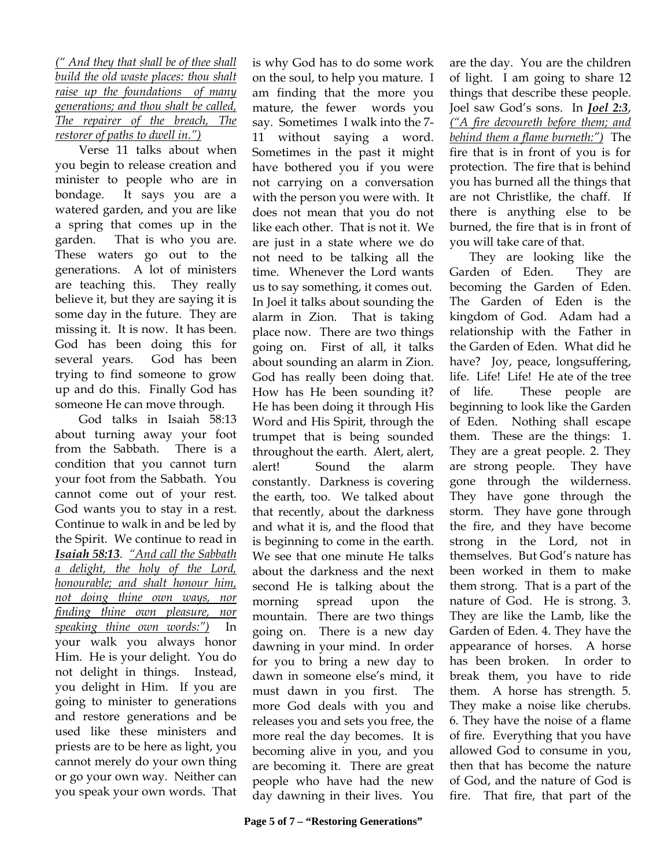*(" And they that shall be of thee shall build the old waste places: thou shalt raise up the foundations of many generations; and thou shalt be called, The repairer of the breach, The restorer of paths to dwell in.")*

 Verse 11 talks about when you begin to release creation and minister to people who are in bondage. It says you are a watered garden, and you are like a spring that comes up in the garden. That is who you are. These waters go out to the generations. A lot of ministers are teaching this. They really believe it, but they are saying it is some day in the future. They are missing it. It is now. It has been. God has been doing this for several years. God has been trying to find someone to grow up and do this. Finally God has someone He can move through.

 God talks in Isaiah 58:13 about turning away your foot from the Sabbath. There is a condition that you cannot turn your foot from the Sabbath. You cannot come out of your rest. God wants you to stay in a rest. Continue to walk in and be led by the Spirit. We continue to read in *Isaiah 58:13*. *"And call the Sabbath a delight, the holy of the Lord, honourable; and shalt honour him, not doing thine own ways, nor finding thine own pleasure, nor speaking thine own words:")* In your walk you always honor Him. He is your delight. You do not delight in things. Instead, you delight in Him. If you are going to minister to generations and restore generations and be used like these ministers and priests are to be here as light, you cannot merely do your own thing or go your own way. Neither can you speak your own words. That

is why God has to do some work on the soul, to help you mature. I am finding that the more you mature, the fewer words you say. Sometimes I walk into the 7- 11 without saying a word. Sometimes in the past it might have bothered you if you were not carrying on a conversation with the person you were with. It does not mean that you do not like each other. That is not it. We are just in a state where we do not need to be talking all the time. Whenever the Lord wants us to say something, it comes out. In Joel it talks about sounding the alarm in Zion. That is taking place now. There are two things going on. First of all, it talks about sounding an alarm in Zion. God has really been doing that. How has He been sounding it? He has been doing it through His Word and His Spirit, through the trumpet that is being sounded throughout the earth. Alert, alert, alert! Sound the alarm constantly. Darkness is covering the earth, too. We talked about that recently, about the darkness and what it is, and the flood that is beginning to come in the earth. We see that one minute He talks about the darkness and the next second He is talking about the morning spread upon the mountain. There are two things going on. There is a new day dawning in your mind. In order for you to bring a new day to dawn in someone else's mind, it must dawn in you first. The more God deals with you and releases you and sets you free, the more real the day becomes. It is becoming alive in you, and you are becoming it. There are great people who have had the new day dawning in their lives. You

are the day. You are the children of light. I am going to share 12 things that describe these people. Joel saw God's sons. In *Joel 2:3*, *("A fire devoureth before them; and behind them a flame burneth:")* The fire that is in front of you is for protection. The fire that is behind you has burned all the things that are not Christlike, the chaff. If there is anything else to be burned, the fire that is in front of you will take care of that.

They are looking like the Garden of Eden. They are becoming the Garden of Eden. The Garden of Eden is the kingdom of God. Adam had a relationship with the Father in the Garden of Eden. What did he have? Joy, peace, longsuffering, life. Life! Life! He ate of the tree of life. These people are beginning to look like the Garden of Eden. Nothing shall escape them. These are the things: 1. They are a great people. 2. They are strong people. They have gone through the wilderness. They have gone through the storm. They have gone through the fire, and they have become strong in the Lord, not in themselves. But God's nature has been worked in them to make them strong. That is a part of the nature of God. He is strong. 3. They are like the Lamb, like the Garden of Eden. 4. They have the appearance of horses. A horse has been broken. In order to break them, you have to ride them. A horse has strength. 5. They make a noise like cherubs. 6. They have the noise of a flame of fire. Everything that you have allowed God to consume in you, then that has become the nature of God, and the nature of God is fire. That fire, that part of the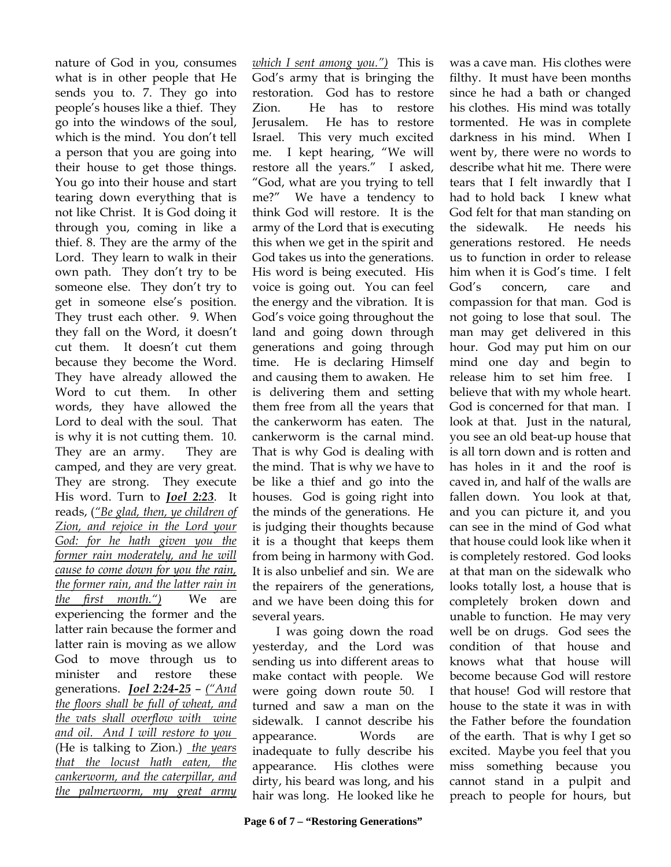nature of God in you, consumes what is in other people that He sends you to. 7. They go into people's houses like a thief. They go into the windows of the soul, which is the mind. You don't tell a person that you are going into their house to get those things. You go into their house and start tearing down everything that is not like Christ. It is God doing it through you, coming in like a thief. 8. They are the army of the Lord. They learn to walk in their own path. They don't try to be someone else. They don't try to get in someone else's position. They trust each other. 9. When they fall on the Word, it doesn't cut them. It doesn't cut them because they become the Word. They have already allowed the Word to cut them. In other words, they have allowed the Lord to deal with the soul. That is why it is not cutting them. 10. They are an army. They are camped, and they are very great. They are strong. They execute His word. Turn to *Joel 2:23*. It reads, (*"Be glad, then, ye children of Zion, and rejoice in the Lord your God: for he hath given you the former rain moderately, and he will cause to come down for you the rain, the former rain, and the latter rain in the first month.")* We are experiencing the former and the latter rain because the former and latter rain is moving as we allow God to move through us to minister and restore these generations. *Joel 2:24-25* – *("And the floors shall be full of wheat, and the vats shall overflow with wine and oil. And I will restore to you*  (He is talking to Zion.) *the years that the locust hath eaten, the cankerworm, and the caterpillar, and the palmerworm, my great army* 

*which I sent among you.")* This is God's army that is bringing the restoration. God has to restore Zion. He has to restore Jerusalem. He has to restore Israel. This very much excited me. I kept hearing, "We will restore all the years." I asked, "God, what are you trying to tell me?" We have a tendency to think God will restore. It is the army of the Lord that is executing this when we get in the spirit and God takes us into the generations. His word is being executed. His voice is going out. You can feel the energy and the vibration. It is God's voice going throughout the land and going down through generations and going through time. He is declaring Himself and causing them to awaken. He is delivering them and setting them free from all the years that the cankerworm has eaten. The cankerworm is the carnal mind. That is why God is dealing with the mind. That is why we have to be like a thief and go into the houses. God is going right into the minds of the generations. He is judging their thoughts because it is a thought that keeps them from being in harmony with God. It is also unbelief and sin. We are the repairers of the generations, and we have been doing this for several years.

 I was going down the road yesterday, and the Lord was sending us into different areas to make contact with people. We were going down route 50. I turned and saw a man on the sidewalk. I cannot describe his appearance. Words are inadequate to fully describe his appearance. His clothes were dirty, his beard was long, and his hair was long. He looked like he

was a cave man. His clothes were filthy. It must have been months since he had a bath or changed his clothes. His mind was totally tormented. He was in complete darkness in his mind. When I went by, there were no words to describe what hit me. There were tears that I felt inwardly that I had to hold back I knew what God felt for that man standing on the sidewalk. He needs his generations restored. He needs us to function in order to release him when it is God's time. I felt God's concern, care and compassion for that man. God is not going to lose that soul. The man may get delivered in this hour. God may put him on our mind one day and begin to release him to set him free. I believe that with my whole heart. God is concerned for that man. I look at that. Just in the natural, you see an old beat-up house that is all torn down and is rotten and has holes in it and the roof is caved in, and half of the walls are fallen down. You look at that, and you can picture it, and you can see in the mind of God what that house could look like when it is completely restored. God looks at that man on the sidewalk who looks totally lost, a house that is completely broken down and unable to function. He may very well be on drugs. God sees the condition of that house and knows what that house will become because God will restore that house! God will restore that house to the state it was in with the Father before the foundation of the earth. That is why I get so excited. Maybe you feel that you miss something because you cannot stand in a pulpit and preach to people for hours, but